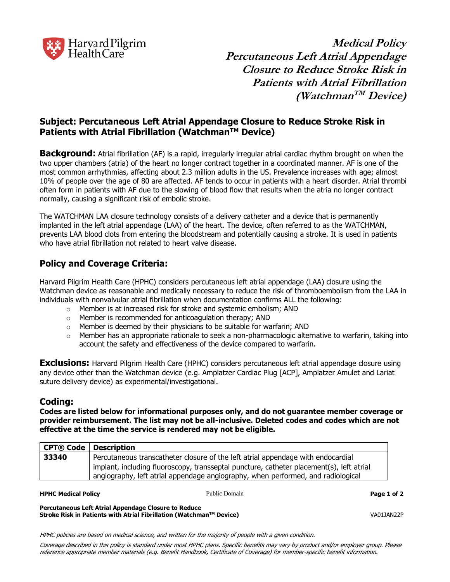

**Medical Policy Percutaneous Left Atrial Appendage Closure to Reduce Stroke Risk in Patients with Atrial Fibrillation (Watchman TM Device)**

# **Subject: Percutaneous Left Atrial Appendage Closure to Reduce Stroke Risk in Patients with Atrial Fibrillation (WatchmanTM Device)**

**Background:** Atrial fibrillation (AF) is a rapid, irregularly irregular atrial cardiac rhythm brought on when the two upper chambers (atria) of the heart no longer contract together in a coordinated manner. AF is one of the most common arrhythmias, affecting about 2.3 million adults in the US. Prevalence increases with age; almost 10% of people over the age of 80 are affected. AF tends to occur in patients with a heart disorder. Atrial thrombi often form in patients with AF due to the slowing of blood flow that results when the atria no longer contract normally, causing a significant risk of embolic stroke.

The WATCHMAN LAA closure technology consists of a delivery catheter and a device that is permanently implanted in the left atrial appendage (LAA) of the heart. The device, often referred to as the WATCHMAN, prevents LAA blood clots from entering the bloodstream and potentially causing a stroke. It is used in patients who have atrial fibrillation not related to heart valve disease.

# **Policy and Coverage Criteria:**

Harvard Pilgrim Health Care (HPHC) considers percutaneous left atrial appendage (LAA) closure using the Watchman device as reasonable and medically necessary to reduce the risk of thromboembolism from the LAA in individuals with nonvalvular atrial fibrillation when documentation confirms ALL the following:

- o Member is at increased risk for stroke and systemic embolism; AND
- o Member is recommended for anticoagulation therapy; AND
- o Member is deemed by their physicians to be suitable for warfarin; AND
- $\circ$  Member has an appropriate rationale to seek a non-pharmacologic alternative to warfarin, taking into account the safety and effectiveness of the device compared to warfarin.

**Exclusions:** Harvard Pilgrim Health Care (HPHC) considers percutaneous left atrial appendage closure using any device other than the Watchman device (e.g. Amplatzer Cardiac Plug [ACP], Amplatzer Amulet and Lariat suture delivery device) as experimental/investigational.

## **Coding:**

**Codes are listed below for informational purposes only, and do not guarantee member coverage or provider reimbursement. The list may not be all-inclusive. Deleted codes and codes which are not effective at the time the service is rendered may not be eligible.**

| CPT® Code Description |                                                                                          |
|-----------------------|------------------------------------------------------------------------------------------|
| 33340                 | Percutaneous transcatheter closure of the left atrial appendage with endocardial         |
|                       | implant, including fluoroscopy, transseptal puncture, catheter placement(s), left atrial |
|                       | angiography, left atrial appendage angiography, when performed, and radiological         |

**HPHC Medical Policy Page 1 of 2**

Public Domain

**Percutaneous Left Atrial Appendage Closure to Reduce Stroke Risk in Patients with Atrial Fibrillation (Watchman™ Device) VA01JAN22P** 

HPHC policies are based on medical science, and written for the majority of people with a given condition.

Coverage described in this policy is standard under most HPHC plans. Specific benefits may vary by product and/or employer group. Please reference appropriate member materials (e.g. Benefit Handbook, Certificate of Coverage) for member-specific benefit information.